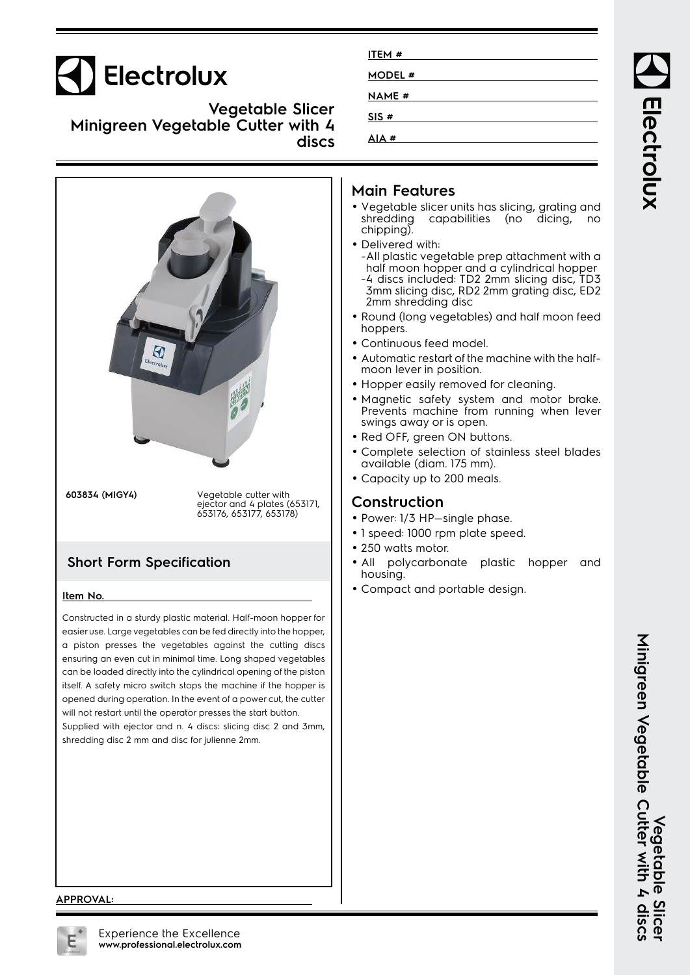# Electrolux

**Vegetable Slicer Minigreen Vegetable Cutter with 4 discs**



a piston presses the vegetables against the cutting discs ensuring an even cut in minimal time. Long shaped vegetables can be loaded directly into the cylindrical opening of the piston itself. A safety micro switch stops the machine if the hopper is opened during operation. In the event of a power cut, the cutter will not restart until the operator presses the start button. Supplied with ejector and n. 4 discs: slicing disc 2 and 3mm, shredding disc 2 mm and disc for julienne 2mm.

| ITEM #        |  |
|---------------|--|
| <b>MODEL#</b> |  |
| <b>NAME</b> # |  |
| SIS #         |  |
| AIA #         |  |
|               |  |

## **Main Features**

- Vegetable slicer units has slicing, grating and shredding capabilities (no dicing, no chipping).
- Delivered with: -All plastic vegetable prep attachment with a half moon hopper and a cylindrical hopper -4 discs included: TD2 2mm slicing disc, TD3
- 3mm slicing disc, RD2 2mm grating disc, ED2 2mm shredding disc
- Round (long vegetables) and half moon feed hoppers.
- •Continuous feed model.
- Automatic restart of the machine with the halfmoon lever in position.
- Hopper easily removed for cleaning.
- • Magnetic safety system and motor brake. Prevents machine from running when lever swings away or is open.
- Red OFF, green ON buttons.
- • Complete selection of stainless steel blades available (diam. 175 mm).
- Capacity up to 200 meals.

## **Construction**

- Power: 1/3 HP—single phase.
- 1 speed: 1000 rpm plate speed.
- 250 watts motor.
- • All polycarbonate plastic hopper and housing.
- Compact and portable design.

Electrolux

#### **APPROVAL:**

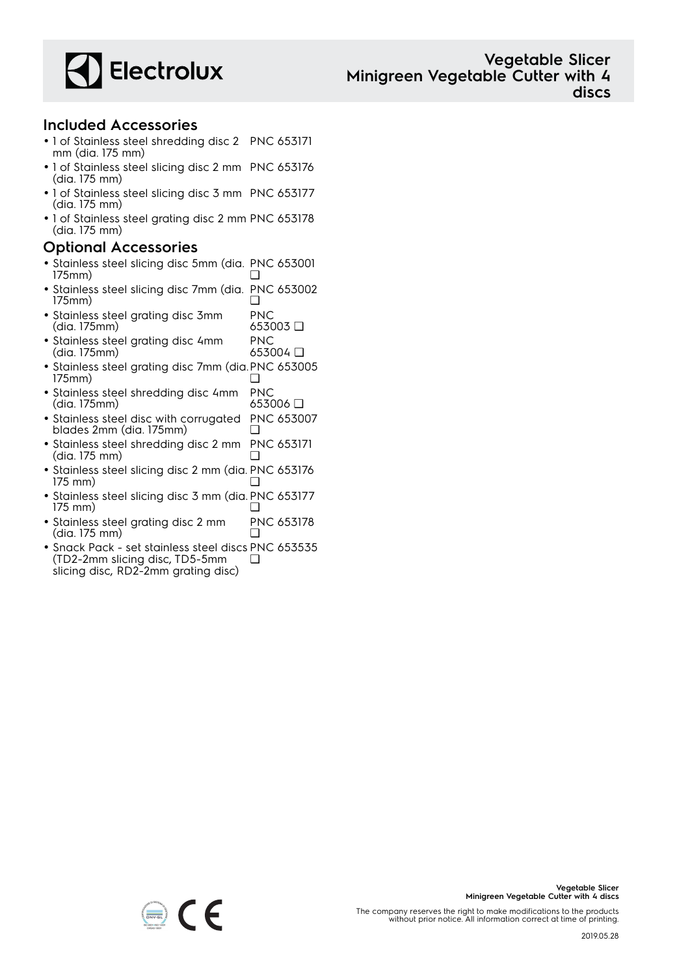

### **Included Accessories**

- 1 of Stainless steel shredding disc 2 PNC 653171 mm (dia. 175 mm)
- 1 of Stainless steel slicing disc 2 mm PNC 653176 (dia. 175 mm)
- 1 of Stainless steel slicing disc 3 mm PNC 653177 (dia. 175 mm)
- 1 of Stainless steel grating disc 2 mm PNC 653178 (dia. 175 mm)

### **Optional Accessories**

- Stainless steel slicing disc 5mm (dia. PNC 653001 175mm) ❑
- Stainless steel slicing disc 7mm (dia. PNC 653002 175mm) ❑
- Stainless steel grating disc 3mm (dia. 175mm) PNC 653003 ❑ PNC
- Stainless steel grating disc 4mm (dia. 175mm) 653004 ❑
- Stainless steel grating disc 7mm (dia. PNC 653005 175mm) ❑
- Stainless steel shredding disc 4mm (dia. 175mm) PNC 653006 ❑
- Stainless steel disc with corrugated blades 2mm (dia. 175mm) PNC 653007 ❑
- Stainless steel shredding disc 2 mm (dia. 175 mm) PNC 653171 ❑
- Stainless steel slicing disc 2 mm (dia. PNC 653176 175 mm) ❑
- Stainless steel slicing disc 3 mm (dia. PNC 653177 175 mm) ❑
- Stainless steel grating disc 2 mm (dia. 175 mm) PNC 653178 ❑
- Snack Pack set stainless steel discs PNC 653535 (TD2-2mm slicing disc, TD5-5mm slicing disc, RD2-2mm grating disc) ❑



**Vegetable Slicer**